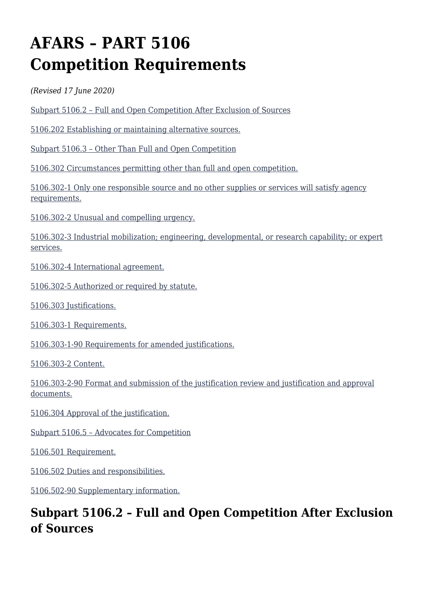# **AFARS – PART 5106 Competition Requirements**

*(Revised 17 June 2020)*

[Subpart 5106.2 – Full and Open Competition After Exclusion of Sources](#page--1-0)

[5106.202 Establishing or maintaining alternative sources.](#page--1-0)

[Subpart 5106.3 – Other Than Full and Open Competition](#page--1-0)

[5106.302 Circumstances permitting other than full and open competition.](#page--1-0)

[5106.302-1 Only one responsible source and no other supplies or services will satisfy agency](#page--1-0) [requirements.](#page--1-0)

[5106.302-2 Unusual and compelling urgency.](#page--1-0)

[5106.302-3 Industrial mobilization; engineering, developmental, or research capability; or expert](#page--1-0) [services.](#page--1-0)

[5106.302-4 International agreement.](#page--1-0)

[5106.302-5 Authorized or required by statute.](#page--1-0)

[5106.303 Justifications.](#page--1-0)

[5106.303-1 Requirements.](#page--1-0)

[5106.303-1-90 Requirements for amended justifications.](#page--1-0)

[5106.303-2 Content.](#page--1-0)

[5106.303-2-90 Format and submission of the justification review and justification and approval](#page--1-0) [documents.](#page--1-0)

[5106.304 Approval of the justification.](#page--1-0)

[Subpart 5106.5 – Advocates for Competition](#page--1-0)

[5106.501 Requirement.](#page--1-0)

[5106.502 Duties and responsibilities.](#page--1-0)

[5106.502-90 Supplementary information.](#page--1-0)

# **Subpart 5106.2 – Full and Open Competition After Exclusion of Sources**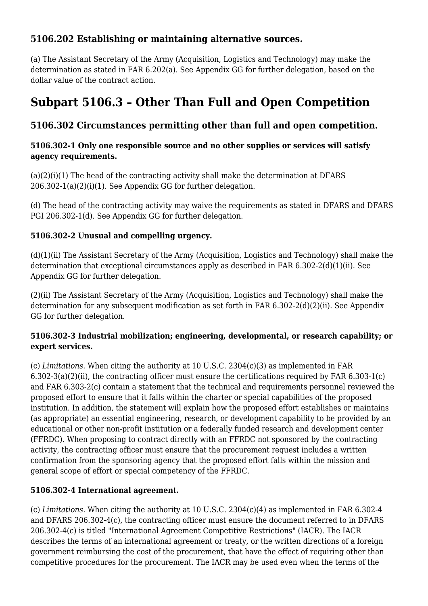# **5106.202 Establishing or maintaining alternative sources.**

(a) The Assistant Secretary of the Army (Acquisition, Logistics and Technology) may make the determination as stated in FAR 6.202(a). See Appendix GG for further delegation, based on the dollar value of the contract action.

# **Subpart 5106.3 – Other Than Full and Open Competition**

# **5106.302 Circumstances permitting other than full and open competition.**

#### **5106.302-1 Only one responsible source and no other supplies or services will satisfy agency requirements.**

 $(a)(2)(i)(1)$  The head of the contracting activity shall make the determination at DFARS 206.302-1(a)(2)(i)(1). See Appendix GG for further delegation.

(d) The head of the contracting activity may waive the requirements as stated in DFARS and DFARS PGI 206.302-1(d). See Appendix GG for further delegation.

### **5106.302-2 Unusual and compelling urgency.**

(d)(1)(ii) The Assistant Secretary of the Army (Acquisition, Logistics and Technology) shall make the determination that exceptional circumstances apply as described in FAR 6.302-2(d)(1)(ii). See Appendix GG for further delegation.

(2)(ii) The Assistant Secretary of the Army (Acquisition, Logistics and Technology) shall make the determination for any subsequent modification as set forth in FAR 6.302-2(d)(2)(ii). See Appendix GG for further delegation.

#### **5106.302-3 Industrial mobilization; engineering, developmental, or research capability; or expert services.**

(c) *Limitations.* When citing the authority at 10 U.S.C. 2304(c)(3) as implemented in FAR 6.302-3(a)(2)(ii), the contracting officer must ensure the certifications required by FAR 6.303-1(c) and FAR 6.303-2(c) contain a statement that the technical and requirements personnel reviewed the proposed effort to ensure that it falls within the charter or special capabilities of the proposed institution. In addition, the statement will explain how the proposed effort establishes or maintains (as appropriate) an essential engineering, research, or development capability to be provided by an educational or other non-profit institution or a federally funded research and development center (FFRDC). When proposing to contract directly with an FFRDC not sponsored by the contracting activity, the contracting officer must ensure that the procurement request includes a written confirmation from the sponsoring agency that the proposed effort falls within the mission and general scope of effort or special competency of the FFRDC.

#### **5106.302-4 International agreement.**

(c) *Limitations.* When citing the authority at 10 U.S.C. 2304(c)(4) as implemented in FAR 6.302-4 and DFARS 206.302-4(c), the contracting officer must ensure the document referred to in DFARS 206.302-4(c) is titled "International Agreement Competitive Restrictions" (IACR). The IACR describes the terms of an international agreement or treaty, or the written directions of a foreign government reimbursing the cost of the procurement, that have the effect of requiring other than competitive procedures for the procurement. The IACR may be used even when the terms of the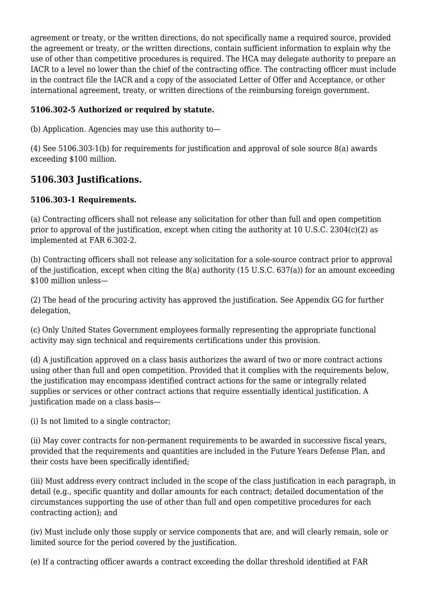agreement or treaty, or the written directions, do not specifically name a required source, provided the agreement or treaty, or the written directions, contain sufficient information to explain why the use of other than competitive procedures is required. The HCA may delegate authority to prepare an IACR to a level no lower than the chief of the contracting office. The contracting officer must include in the contract file the IACR and a copy of the associated Letter of Offer and Acceptance, or other international agreement, treaty, or written directions of the reimbursing foreign government.

## **5106.302-5 Authorized or required by statute.**

(b) Application. Agencies may use this authority to—

(4) See 5106.303-1(b) for requirements for justification and approval of sole source 8(a) awards exceeding \$100 million.

# **5106.303 Justifications.**

### **5106.303-1 Requirements.**

(a) Contracting officers shall not release any solicitation for other than full and open competition prior to approval of the justification, except when citing the authority at 10 U.S.C. 2304(c)(2) as implemented at FAR 6.302-2.

(b) Contracting officers shall not release any solicitation for a sole-source contract prior to approval of the justification, except when citing the 8(a) authority (15 U.S.C. 637(a)) for an amount exceeding \$100 million unless—

(2) The head of the procuring activity has approved the justification. See Appendix GG for further delegation,

(c) Only United States Government employees formally representing the appropriate functional activity may sign technical and requirements certifications under this provision.

(d) A justification approved on a class basis authorizes the award of two or more contract actions using other than full and open competition. Provided that it complies with the requirements below, the justification may encompass identified contract actions for the same or integrally related supplies or services or other contract actions that require essentially identical justification. A justification made on a class basis—

(i) Is not limited to a single contractor;

(ii) May cover contracts for non-permanent requirements to be awarded in successive fiscal years, provided that the requirements and quantities are included in the Future Years Defense Plan, and their costs have been specifically identified;

(iii) Must address every contract included in the scope of the class justification in each paragraph, in detail (e.g., specific quantity and dollar amounts for each contract; detailed documentation of the circumstances supporting the use of other than full and open competitive procedures for each contracting action); and

(iv) Must include only those supply or service components that are, and will clearly remain, sole or limited source for the period covered by the justification.

(e) If a contracting officer awards a contract exceeding the dollar threshold identified at FAR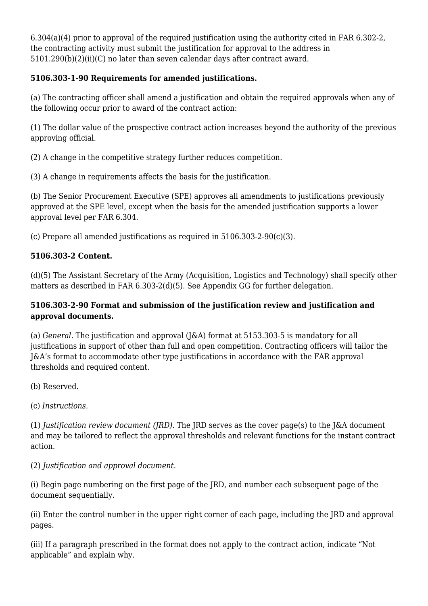6.304(a)(4) prior to approval of the required justification using the authority cited in FAR 6.302-2, the contracting activity must submit the justification for approval to the address in 5101.290(b)(2)(ii)(C) no later than seven calendar days after contract award*.*

### **5106.303-1-90 Requirements for amended justifications.**

(a) The contracting officer shall amend a justification and obtain the required approvals when any of the following occur prior to award of the contract action:

(1) The dollar value of the prospective contract action increases beyond the authority of the previous approving official.

(2) A change in the competitive strategy further reduces competition.

(3) A change in requirements affects the basis for the justification.

(b) The Senior Procurement Executive (SPE) approves all amendments to justifications previously approved at the SPE level, except when the basis for the amended justification supports a lower approval level per FAR 6.304.

(c) Prepare all amended justifications as required in 5106.303-2-90(c)(3).

### **5106.303-2 Content.**

(d)(5) The Assistant Secretary of the Army (Acquisition, Logistics and Technology) shall specify other matters as described in FAR 6.303-2(d)(5). See Appendix GG for further delegation.

#### **5106.303-2-90 Format and submission of the justification review and justification and approval documents.**

(a) *General.* The justification and approval (J&A) format at 5153.303-5 is mandatory for all justifications in support of other than full and open competition. Contracting officers will tailor the J&A's format to accommodate other type justifications in accordance with the FAR approval thresholds and required content.

(b) Reserved.

(c) *Instructions.*

(1) *Justification review document (JRD).* The JRD serves as the cover page(s) to the J&A document and may be tailored to reflect the approval thresholds and relevant functions for the instant contract action.

(2) *Justification and approval document.*

(i) Begin page numbering on the first page of the JRD, and number each subsequent page of the document sequentially.

(ii) Enter the control number in the upper right corner of each page, including the JRD and approval pages.

(iii) If a paragraph prescribed in the format does not apply to the contract action, indicate "Not applicable" and explain why.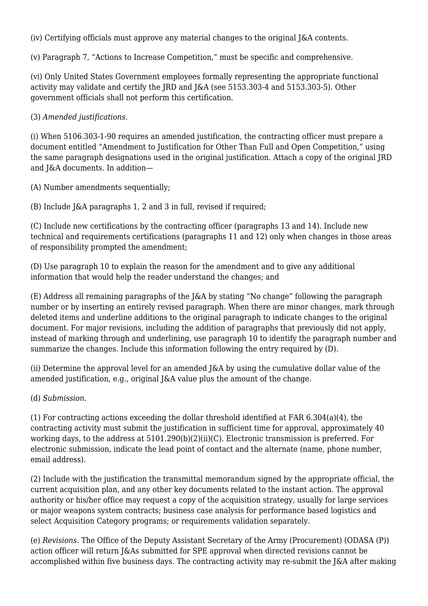(iv) Certifying officials must approve any material changes to the original J&A contents.

(v) Paragraph 7, "Actions to Increase Competition," must be specific and comprehensive.

(vi) Only United States Government employees formally representing the appropriate functional activity may validate and certify the JRD and J&A (see 5153.303-4 and 5153.303-5). Other government officials shall not perform this certification.

(3) *Amended justifications.*

(i) When 5106.303-1-90 requires an amended justification, the contracting officer must prepare a document entitled "Amendment to Justification for Other Than Full and Open Competition," using the same paragraph designations used in the original justification. Attach a copy of the original JRD and J&A documents. In addition—

(A) Number amendments sequentially;

(B) Include J&A paragraphs 1, 2 and 3 in full, revised if required;

(C) Include new certifications by the contracting officer (paragraphs 13 and 14). Include new technical and requirements certifications (paragraphs 11 and 12) only when changes in those areas of responsibility prompted the amendment;

(D) Use paragraph 10 to explain the reason for the amendment and to give any additional information that would help the reader understand the changes; and

(E) Address all remaining paragraphs of the J&A by stating "No change" following the paragraph number or by inserting an entirely revised paragraph. When there are minor changes, mark through deleted items and underline additions to the original paragraph to indicate changes to the original document. For major revisions, including the addition of paragraphs that previously did not apply, instead of marking through and underlining, use paragraph 10 to identify the paragraph number and summarize the changes. Include this information following the entry required by (D).

(ii) Determine the approval level for an amended J&A by using the cumulative dollar value of the amended justification, e.g., original J&A value plus the amount of the change.

(d) *Submission.*

(1) For contracting actions exceeding the dollar threshold identified at FAR 6.304(a)(4), the contracting activity must submit the justification in sufficient time for approval, approximately 40 working days, to the address at 5101.290(b)(2)(ii)(C). Electronic transmission is preferred. For electronic submission, indicate the lead point of contact and the alternate (name, phone number, email address).

(2) Include with the justification the transmittal memorandum signed by the appropriate official, the current acquisition plan, and any other key documents related to the instant action. The approval authority or his/her office may request a copy of the acquisition strategy, usually for large services or major weapons system contracts; business case analysis for performance based logistics and select Acquisition Category programs; or requirements validation separately.

(e) *Revisions.* The Office of the Deputy Assistant Secretary of the Army (Procurement) (ODASA (P)) action officer will return J&As submitted for SPE approval when directed revisions cannot be accomplished within five business days. The contracting activity may re-submit the J&A after making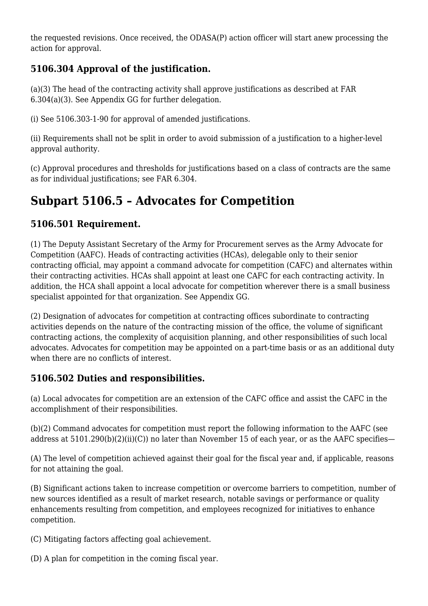the requested revisions. Once received, the ODASA(P) action officer will start anew processing the action for approval.

# **5106.304 Approval of the justification.**

(a)(3) The head of the contracting activity shall approve justifications as described at FAR 6.304(a)(3). See Appendix GG for further delegation.

(i) See 5106.303-1-90 for approval of amended justifications.

(ii) Requirements shall not be split in order to avoid submission of a justification to a higher-level approval authority.

(c) Approval procedures and thresholds for justifications based on a class of contracts are the same as for individual justifications; see FAR 6.304.

# **Subpart 5106.5 – Advocates for Competition**

# **5106.501 Requirement.**

(1) The Deputy Assistant Secretary of the Army for Procurement serves as the Army Advocate for Competition (AAFC). Heads of contracting activities (HCAs), delegable only to their senior contracting official, may appoint a command advocate for competition (CAFC) and alternates within their contracting activities. HCAs shall appoint at least one CAFC for each contracting activity. In addition, the HCA shall appoint a local advocate for competition wherever there is a small business specialist appointed for that organization. See Appendix GG.

(2) Designation of advocates for competition at contracting offices subordinate to contracting activities depends on the nature of the contracting mission of the office, the volume of significant contracting actions, the complexity of acquisition planning, and other responsibilities of such local advocates. Advocates for competition may be appointed on a part-time basis or as an additional duty when there are no conflicts of interest.

# **5106.502 Duties and responsibilities.**

(a) Local advocates for competition are an extension of the CAFC office and assist the CAFC in the accomplishment of their responsibilities.

(b)(2) Command advocates for competition must report the following information to the AAFC (see address at 5101.290(b)(2)(ii)(C)) no later than November 15 of each year, or as the AAFC specifies—

(A) The level of competition achieved against their goal for the fiscal year and, if applicable, reasons for not attaining the goal.

(B) Significant actions taken to increase competition or overcome barriers to competition, number of new sources identified as a result of market research, notable savings or performance or quality enhancements resulting from competition, and employees recognized for initiatives to enhance competition.

(C) Mitigating factors affecting goal achievement.

(D) A plan for competition in the coming fiscal year.